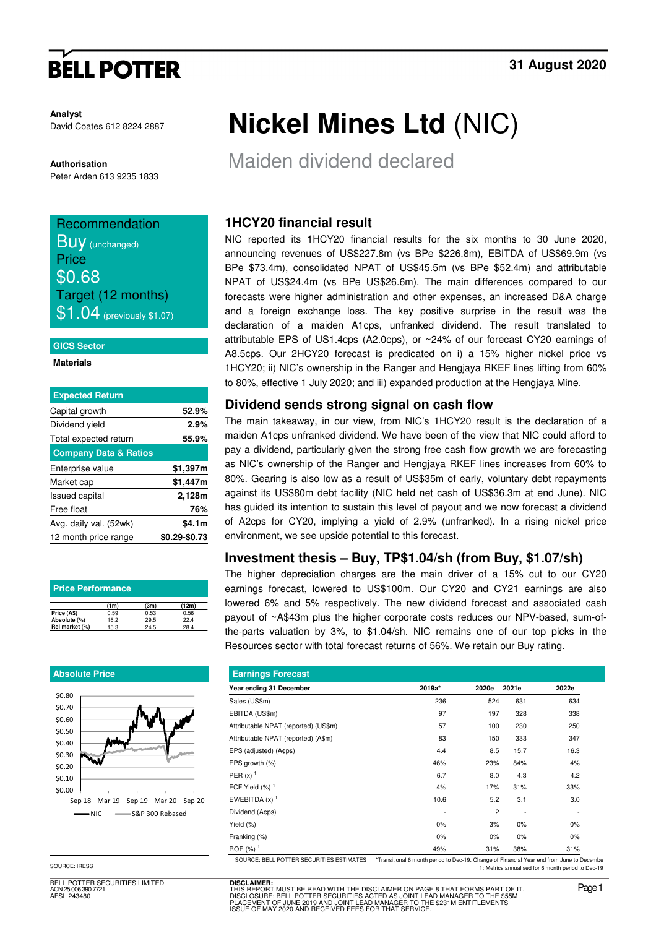# **BELL POTTER**

**Analyst** David Coates 612 8224 2887

**Authorisation**  Peter Arden 613 9235 1833

## Recommendation

**Buy** (unchanged) **Price** \$0.68 Target (12 months)  $$1.04$  (previously \$1.07)

#### **GICS Sector**

#### **Materials**

| <b>Expected Return</b>           |               |
|----------------------------------|---------------|
| Capital growth                   | 52.9%         |
| Dividend yield                   | 2.9%          |
| Total expected return            | 55.9%         |
| <b>Company Data &amp; Ratios</b> |               |
| Enterprise value                 | \$1,397m      |
| Market cap                       | \$1,447m      |
| <b>Issued capital</b>            | 2,128m        |
| Free float                       | 76%           |
| Avg. daily val. (52wk)           | \$4.1m        |
| 12 month price range             | \$0.29-\$0.73 |
|                                  |               |

| <b>Price Performance</b> |      |      |       |  |  |  |  |  |
|--------------------------|------|------|-------|--|--|--|--|--|
|                          | (1m) | (3m) | (12m) |  |  |  |  |  |
| Price (A\$)              | 0.59 | 0.53 | 0.56  |  |  |  |  |  |
| Absolute (%)             | 16.2 | 29.5 | 22.4  |  |  |  |  |  |
| Rel market (%)           | 15.3 | 24.5 | 28.4  |  |  |  |  |  |

#### **Absolute Price**



SOURCE: IRESS

BELL POTTER SECURITIES LIMITED ACN 25 006 390 7721 AFSL 243480

# **Nickel Mines Ltd** (NIC)

Maiden dividend declared

## **1HCY20 financial result**

NIC reported its 1HCY20 financial results for the six months to 30 June 2020, announcing revenues of US\$227.8m (vs BPe \$226.8m), EBITDA of US\$69.9m (vs BPe \$73.4m), consolidated NPAT of US\$45.5m (vs BPe \$52.4m) and attributable NPAT of US\$24.4m (vs BPe US\$26.6m). The main differences compared to our forecasts were higher administration and other expenses, an increased D&A charge and a foreign exchange loss. The key positive surprise in the result was the declaration of a maiden A1cps, unfranked dividend. The result translated to attributable EPS of US1.4cps (A2.0cps), or ~24% of our forecast CY20 earnings of A8.5cps. Our 2HCY20 forecast is predicated on i) a 15% higher nickel price vs 1HCY20; ii) NIC's ownership in the Ranger and Hengjaya RKEF lines lifting from 60% to 80%, effective 1 July 2020; and iii) expanded production at the Hengjaya Mine.

### **Dividend sends strong signal on cash flow**

The main takeaway, in our view, from NIC's 1HCY20 result is the declaration of a maiden A1cps unfranked dividend. We have been of the view that NIC could afford to pay a dividend, particularly given the strong free cash flow growth we are forecasting as NIC's ownership of the Ranger and Hengjaya RKEF lines increases from 60% to 80%. Gearing is also low as a result of US\$35m of early, voluntary debt repayments against its US\$80m debt facility (NIC held net cash of US\$36.3m at end June). NIC has guided its intention to sustain this level of payout and we now forecast a dividend of A2cps for CY20, implying a yield of 2.9% (unfranked). In a rising nickel price environment, we see upside potential to this forecast.

### **Investment thesis – Buy, TP\$1.04/sh (from Buy, \$1.07/sh)**

The higher depreciation charges are the main driver of a 15% cut to our CY20 earnings forecast, lowered to US\$100m. Our CY20 and CY21 earnings are also lowered 6% and 5% respectively. The new dividend forecast and associated cash payout of ~A\$43m plus the higher corporate costs reduces our NPV-based, sum-ofthe-parts valuation by 3%, to \$1.04/sh. NIC remains one of our top picks in the Resources sector with total forecast returns of 56%. We retain our Buy rating.

| <b>Earnings Forecast</b>             |        |                |       |       |  |  |  |
|--------------------------------------|--------|----------------|-------|-------|--|--|--|
| Year ending 31 December              | 2019a* | 2020e          | 2021e | 2022e |  |  |  |
| Sales (US\$m)                        | 236    | 524            | 631   | 634   |  |  |  |
| EBITDA (US\$m)                       | 97     | 197            | 328   | 338   |  |  |  |
| Attributable NPAT (reported) (US\$m) | 57     | 100            | 230   | 250   |  |  |  |
| Attributable NPAT (reported) (A\$m)  | 83     | 150            | 333   | 347   |  |  |  |
| EPS (adjusted) (A¢ps)                | 4.4    | 8.5            | 15.7  | 16.3  |  |  |  |
| EPS growth (%)                       | 46%    | 23%            | 84%   | 4%    |  |  |  |
| PER $(x)$ <sup>1</sup>               | 6.7    | 8.0            | 4.3   | 4.2   |  |  |  |
| FCF Yield $(%)$ <sup>1</sup>         | 4%     | 17%            | 31%   | 33%   |  |  |  |
| EV/EBITDA $(x)$ <sup>1</sup>         | 10.6   | 5.2            | 3.1   | 3.0   |  |  |  |
| Dividend (A¢ps)                      |        | $\overline{c}$ |       |       |  |  |  |
| Yield $(\%)$                         | $0\%$  | 3%             | 0%    | $0\%$ |  |  |  |
| Franking (%)                         | 0%     | 0%             | 0%    | $0\%$ |  |  |  |
| ROE $(%)$ <sup>1</sup>               | 49%    | 31%            | 38%   | 31%   |  |  |  |

SOURCE: BELL POTTER SECURITIES ESTIMATES \*Transitional 6 month period to Dec-19. Change of Financial Year end from June to Decembe 1: Metrics annualised for 6 month period to Dec-19

**DISCLAIMER:** THIS REPORT MUST BE READ WITH THE DISCLAIMER ON PAGE 8 THAT FORMS PART OF IT.<br>DISCLOSURE: BELL POTTER SECURITIES ACTED AS JOINT LEAD MANAGER TO THE \$55M<br>PLACEMENT OF JUNE 2019 AND JOINT LEAD MANAGER TO THE \$231M ENTITLEMEN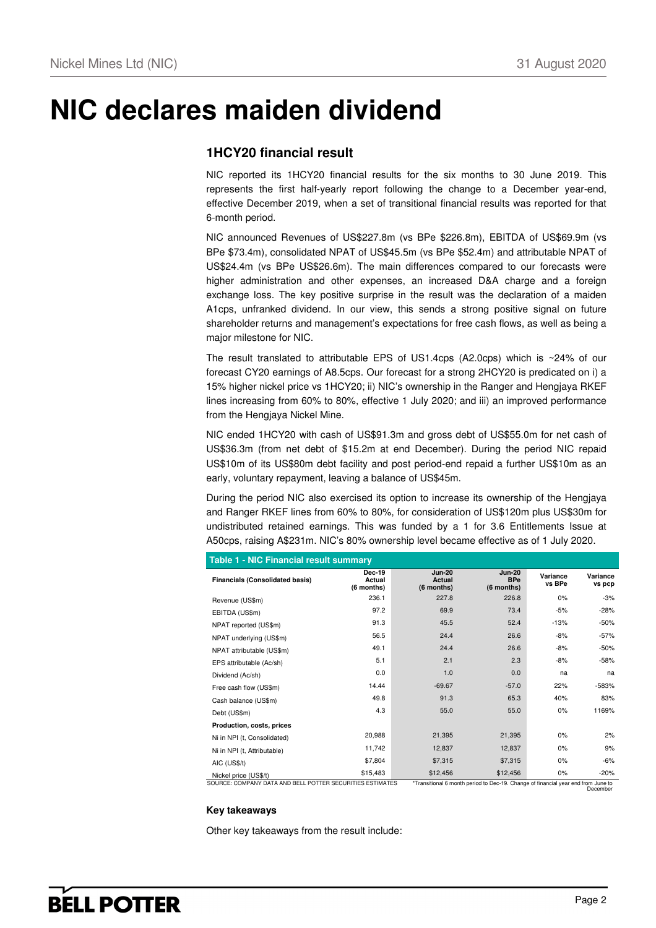# **NIC declares maiden dividend**

### **1HCY20 financial result**

NIC reported its 1HCY20 financial results for the six months to 30 June 2019. This represents the first half-yearly report following the change to a December year-end, effective December 2019, when a set of transitional financial results was reported for that 6-month period.

NIC announced Revenues of US\$227.8m (vs BPe \$226.8m), EBITDA of US\$69.9m (vs BPe \$73.4m), consolidated NPAT of US\$45.5m (vs BPe \$52.4m) and attributable NPAT of US\$24.4m (vs BPe US\$26.6m). The main differences compared to our forecasts were higher administration and other expenses, an increased D&A charge and a foreign exchange loss. The key positive surprise in the result was the declaration of a maiden A1cps, unfranked dividend. In our view, this sends a strong positive signal on future shareholder returns and management's expectations for free cash flows, as well as being a major milestone for NIC.

The result translated to attributable EPS of US1.4cps (A2.0cps) which is  $\sim$ 24% of our forecast CY20 earnings of A8.5cps. Our forecast for a strong 2HCY20 is predicated on i) a 15% higher nickel price vs 1HCY20; ii) NIC's ownership in the Ranger and Hengjaya RKEF lines increasing from 60% to 80%, effective 1 July 2020; and iii) an improved performance from the Hengjaya Nickel Mine.

NIC ended 1HCY20 with cash of US\$91.3m and gross debt of US\$55.0m for net cash of US\$36.3m (from net debt of \$15.2m at end December). During the period NIC repaid US\$10m of its US\$80m debt facility and post period-end repaid a further US\$10m as an early, voluntary repayment, leaving a balance of US\$45m.

During the period NIC also exercised its option to increase its ownership of the Hengjaya and Ranger RKEF lines from 60% to 80%, for consideration of US\$120m plus US\$30m for undistributed retained earnings. This was funded by a 1 for 3.6 Entitlements Issue at A50cps, raising A\$231m. NIC's 80% ownership level became effective as of 1 July 2020.

| <b>Financials (Consolidated basis)</b>                    | <b>Dec-19</b><br>Actual<br>(6 months) | <b>Jun-20</b><br>Actual<br>(6 months) | <b>Jun-20</b><br><b>BPe</b><br>$(6$ months)                                       | Variance<br>vs BPe | Variance<br>vs pcp |
|-----------------------------------------------------------|---------------------------------------|---------------------------------------|-----------------------------------------------------------------------------------|--------------------|--------------------|
| Revenue (US\$m)                                           | 236.1                                 | 227.8                                 | 226.8                                                                             | 0%                 | $-3%$              |
| EBITDA (US\$m)                                            | 97.2                                  | 69.9                                  | 73.4                                                                              | $-5%$              | $-28%$             |
| NPAT reported (US\$m)                                     | 91.3                                  | 45.5                                  | 52.4                                                                              | $-13%$             | $-50%$             |
| NPAT underlying (US\$m)                                   | 56.5                                  | 24.4                                  | 26.6                                                                              | $-8%$              | $-57%$             |
| NPAT attributable (US\$m)                                 | 49.1                                  | 24.4                                  | 26.6                                                                              | $-8%$              | $-50%$             |
| EPS attributable (Ac/sh)                                  | 5.1                                   | 2.1                                   | 2.3                                                                               | $-8%$              | $-58%$             |
| Dividend (Ac/sh)                                          | 0.0                                   | 1.0                                   | 0.0                                                                               | na                 | na                 |
| Free cash flow (US\$m)                                    | 14.44                                 | $-69.67$                              | $-57.0$                                                                           | 22%                | $-583%$            |
| Cash balance (US\$m)                                      | 49.8                                  | 91.3                                  | 65.3                                                                              | 40%                | 83%                |
| Debt (US\$m)                                              | 4.3                                   | 55.0                                  | 55.0                                                                              | $0\%$              | 1169%              |
| Production, costs, prices                                 |                                       |                                       |                                                                                   |                    |                    |
| Ni in NPI (t, Consolidated)                               | 20,988                                | 21,395                                | 21,395                                                                            | 0%                 | 2%                 |
| Ni in NPI (t, Attributable)                               | 11,742                                | 12,837                                | 12,837                                                                            | 0%                 | 9%                 |
| AIC (US\$/t)                                              | \$7,804                               | \$7,315                               | \$7,315                                                                           | $0\%$              | $-6%$              |
| Nickel price (US\$/t)                                     | \$15,483                              | \$12,456                              | \$12,456                                                                          | $0\%$              | $-20%$             |
| SOURCE: COMPANY DATA AND BELL POTTER SECURITIES ESTIMATES |                                       |                                       | *Transitional 6 month period to Dec-19. Change of financial year end from June to |                    | Docombor           |

#### **Table 1 - NIC Financial result summary**

### **Key takeaways**

Other key takeaways from the result include: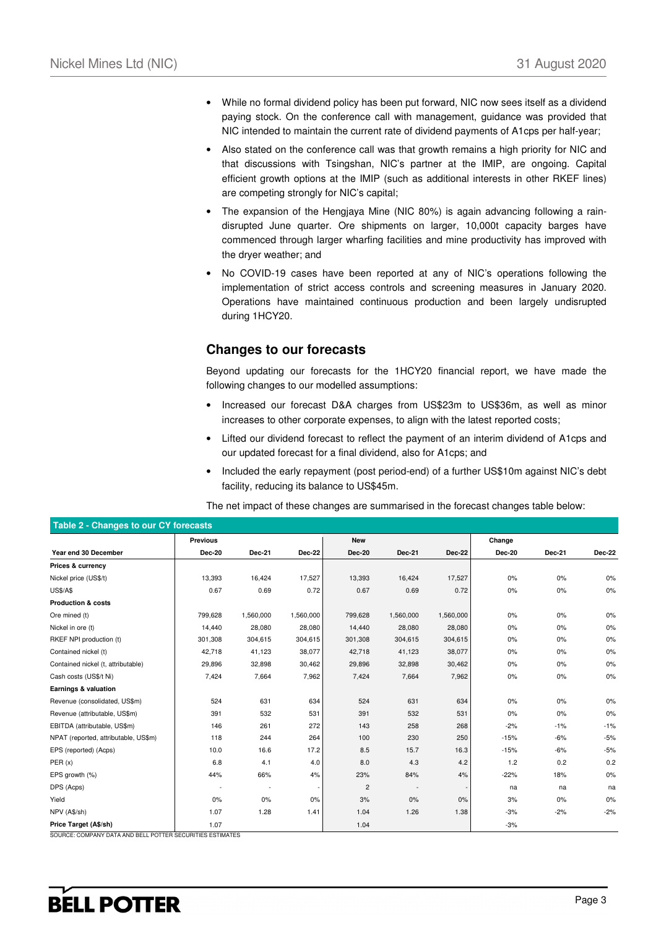- While no formal dividend policy has been put forward, NIC now sees itself as a dividend paying stock. On the conference call with management, guidance was provided that NIC intended to maintain the current rate of dividend payments of A1cps per half-year;
- Also stated on the conference call was that growth remains a high priority for NIC and that discussions with Tsingshan, NIC's partner at the IMIP, are ongoing. Capital efficient growth options at the IMIP (such as additional interests in other RKEF lines) are competing strongly for NIC's capital;
- The expansion of the Hengjaya Mine (NIC 80%) is again advancing following a raindisrupted June quarter. Ore shipments on larger, 10,000t capacity barges have commenced through larger wharfing facilities and mine productivity has improved with the dryer weather; and
- No COVID-19 cases have been reported at any of NIC's operations following the implementation of strict access controls and screening measures in January 2020. Operations have maintained continuous production and been largely undisrupted during 1HCY20.

## **Changes to our forecasts**

Beyond updating our forecasts for the 1HCY20 financial report, we have made the following changes to our modelled assumptions:

- Increased our forecast D&A charges from US\$23m to US\$36m, as well as minor increases to other corporate expenses, to align with the latest reported costs;
- Lifted our dividend forecast to reflect the payment of an interim dividend of A1cps and our updated forecast for a final dividend, also for A1cps; and
- Included the early repayment (post period-end) of a further US\$10m against NIC's debt facility, reducing its balance to US\$45m.

**Table 2 - Changes to our CY forecasts Previous New Change Year end 30 December Dec-20 Dec-21 Dec-22 Dec-20 Dec-21 Dec-22 Dec-20 Dec-21 Dec-22 Prices & currency** Nickel price (US\$/t) 13,393 16,424 17,527 13,393 16,424 17,527 0% 0% 0% US\$/A\$ 0.67 0.69 0.72 0.67 0.69 0.72 0% 0% 0% **Production & costs** Ore mined (t) 799,628 1,560,000 1,560,000 799,628 1,560,000 1,560,000 0% 0% 0% Nickel in ore (t) 14,440 28,080 28,080 14,440 28,080 28,080 0% 0% 0% RKEF NPI production (t) 301,308 304,615 304,615 301,308 304,615 304,615 0% 0% 0% Contained nickel (t) 42,718 41,123 38,077 42,718 41,123 38,077 0% 0% 0% Contained nickel (t, attributable) 29,896 32,898 30,462 29,896 32,898 30,462 0% 0% 0% Cash costs (US\$/t Ni) 7,424 7,664 7,962 7,424 7,664 7,962 0% 0% 0% **Earnings & valuation** Revenue (consolidated, US\$m) 524 631 634 524 631 634 0% 0% 0% Revenue (attributable, US\$m) 391 532 531 391 532 531 0% 0% 0% EBITDA (attributable, US\$m) 146 261 272 143 258 268 -2% -1% -1% NPAT (reported, attributable, US\$m) 118 244 264 100 230 250 -15% -6% -5% EPS (reported) (Acps) 10.0 16.6 17.2 8.5 15.7 16.3 -15% -6% -5% PER (x) 6.8 4.1 4.0 8.0 4.3 4.2 1.2 0.2 0.2 EPS growth (%) 44% 66% 4% 23% 84% 4% -22% 18% 0% DPS (Acps) - - - 2 - - na na na Yield | 0% 0% 0% | 3% 0% | 3% 0% 0% NPV (A\$/sh) 1.07 1.28 1.41 1.04 1.26 1.38 -3% -2% -2% **Price Target (A\$/sh)** 1.07 1.07 1.04 1.04 1.04 3%

The net impact of these changes are summarised in the forecast changes table below:

SOURCE: COMPANY DATA AND BELL POTTER SECURITIES ESTIMATES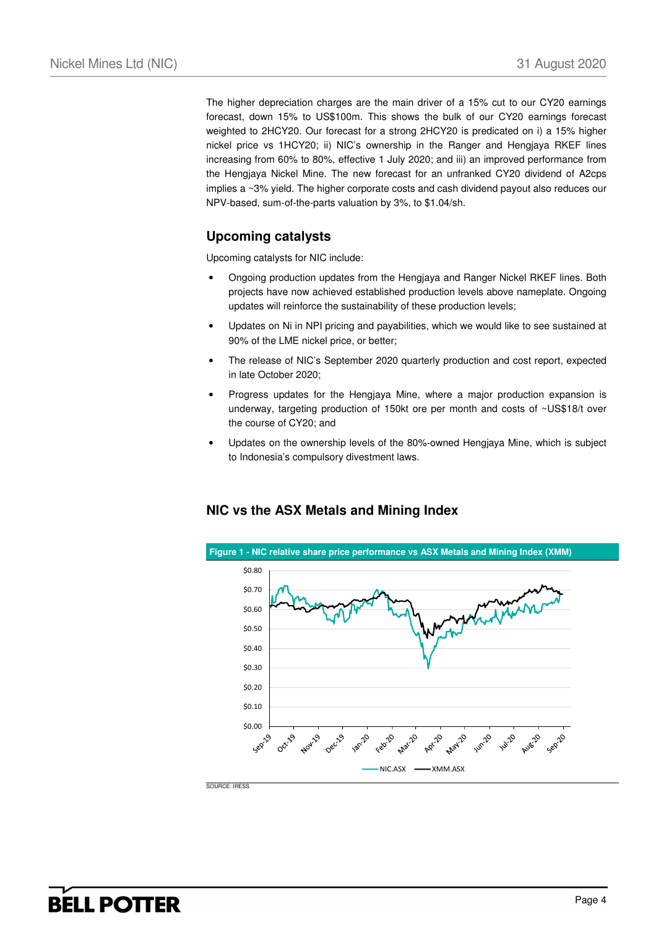The higher depreciation charges are the main driver of a 15% cut to our CY20 earnings forecast, down 15% to US\$100m. This shows the bulk of our CY20 earnings forecast weighted to 2HCY20. Our forecast for a strong 2HCY20 is predicated on i) a 15% higher nickel price vs 1HCY20; ii) NIC's ownership in the Ranger and Hengjaya RKEF lines increasing from 60% to 80%, effective 1 July 2020; and iii) an improved performance from the Hengjaya Nickel Mine. The new forecast for an unfranked CY20 dividend of A2cps implies a ~3% yield. The higher corporate costs and cash dividend payout also reduces our NPV-based, sum-of-the-parts valuation by 3%, to \$1.04/sh.

## **Upcoming catalysts**

Upcoming catalysts for NIC include:

- Ongoing production updates from the Hengjaya and Ranger Nickel RKEF lines. Both projects have now achieved established production levels above nameplate. Ongoing updates will reinforce the sustainability of these production levels;
- Updates on Ni in NPI pricing and payabilities, which we would like to see sustained at 90% of the LME nickel price, or better;
- The release of NIC's September 2020 quarterly production and cost report, expected in late October 2020;
- Progress updates for the Hengjaya Mine, where a major production expansion is underway, targeting production of 150kt ore per month and costs of ~US\$18/t over the course of CY20; and
- Updates on the ownership levels of the 80%-owned Hengjaya Mine, which is subject to Indonesia's compulsory divestment laws.

## **NIC vs the ASX Metals and Mining Index**

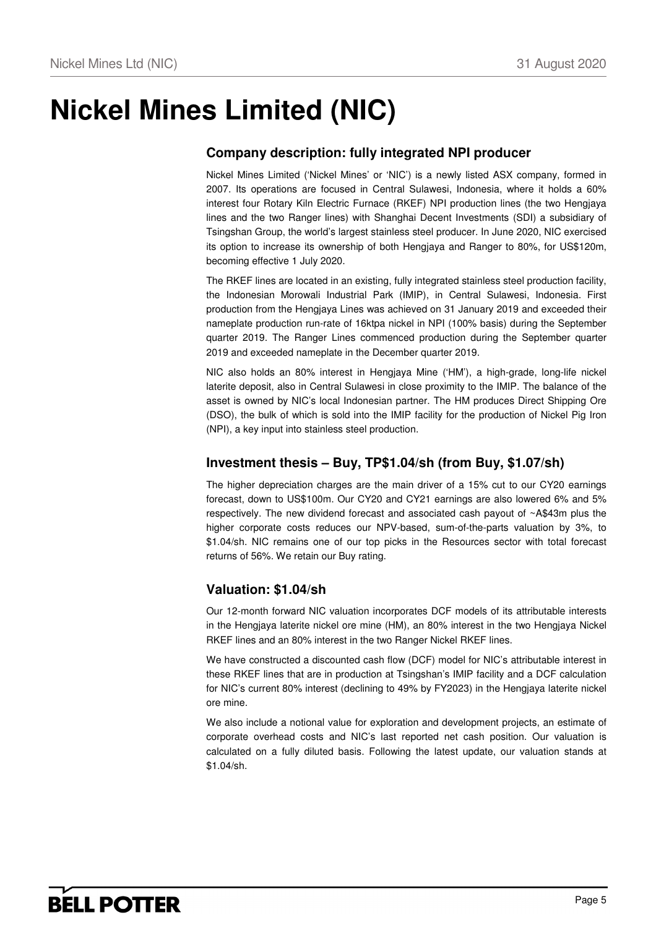# **Nickel Mines Limited (NIC)**

## **Company description: fully integrated NPI producer**

Nickel Mines Limited ('Nickel Mines' or 'NIC') is a newly listed ASX company, formed in 2007. Its operations are focused in Central Sulawesi, Indonesia, where it holds a 60% interest four Rotary Kiln Electric Furnace (RKEF) NPI production lines (the two Hengjaya lines and the two Ranger lines) with Shanghai Decent Investments (SDI) a subsidiary of Tsingshan Group, the world's largest stainless steel producer. In June 2020, NIC exercised its option to increase its ownership of both Hengjaya and Ranger to 80%, for US\$120m, becoming effective 1 July 2020.

The RKEF lines are located in an existing, fully integrated stainless steel production facility, the Indonesian Morowali Industrial Park (IMIP), in Central Sulawesi, Indonesia. First production from the Hengjaya Lines was achieved on 31 January 2019 and exceeded their nameplate production run-rate of 16ktpa nickel in NPI (100% basis) during the September quarter 2019. The Ranger Lines commenced production during the September quarter 2019 and exceeded nameplate in the December quarter 2019.

NIC also holds an 80% interest in Hengjaya Mine ('HM'), a high-grade, long-life nickel laterite deposit, also in Central Sulawesi in close proximity to the IMIP. The balance of the asset is owned by NIC's local Indonesian partner. The HM produces Direct Shipping Ore (DSO), the bulk of which is sold into the IMIP facility for the production of Nickel Pig Iron (NPI), a key input into stainless steel production.

### **Investment thesis – Buy, TP\$1.04/sh (from Buy, \$1.07/sh)**

The higher depreciation charges are the main driver of a 15% cut to our CY20 earnings forecast, down to US\$100m. Our CY20 and CY21 earnings are also lowered 6% and 5% respectively. The new dividend forecast and associated cash payout of ~A\$43m plus the higher corporate costs reduces our NPV-based, sum-of-the-parts valuation by 3%, to \$1.04/sh. NIC remains one of our top picks in the Resources sector with total forecast returns of 56%. We retain our Buy rating.

## **Valuation: \$1.04/sh**

Our 12-month forward NIC valuation incorporates DCF models of its attributable interests in the Hengjaya laterite nickel ore mine (HM), an 80% interest in the two Hengjaya Nickel RKEF lines and an 80% interest in the two Ranger Nickel RKEF lines.

We have constructed a discounted cash flow (DCF) model for NIC's attributable interest in these RKEF lines that are in production at Tsingshan's IMIP facility and a DCF calculation for NIC's current 80% interest (declining to 49% by FY2023) in the Hengjaya laterite nickel ore mine.

We also include a notional value for exploration and development projects, an estimate of corporate overhead costs and NIC's last reported net cash position. Our valuation is calculated on a fully diluted basis. Following the latest update, our valuation stands at \$1.04/sh.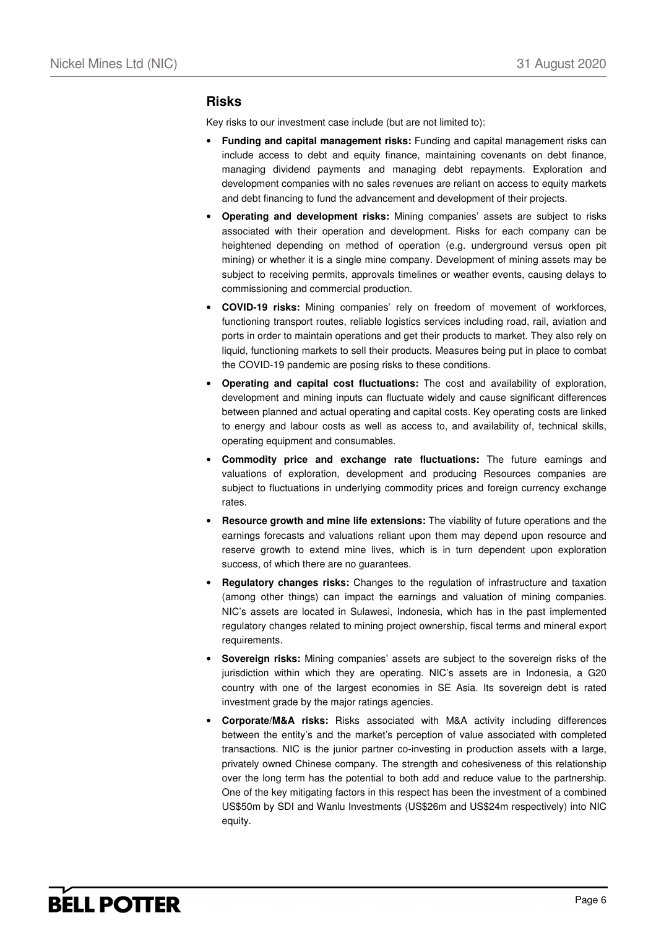### **Risks**

Key risks to our investment case include (but are not limited to):

- **Funding and capital management risks:** Funding and capital management risks can include access to debt and equity finance, maintaining covenants on debt finance, managing dividend payments and managing debt repayments. Exploration and development companies with no sales revenues are reliant on access to equity markets and debt financing to fund the advancement and development of their projects.
- **Operating and development risks:** Mining companies' assets are subject to risks associated with their operation and development. Risks for each company can be heightened depending on method of operation (e.g. underground versus open pit mining) or whether it is a single mine company. Development of mining assets may be subject to receiving permits, approvals timelines or weather events, causing delays to commissioning and commercial production.
- **COVID-19 risks:** Mining companies' rely on freedom of movement of workforces, functioning transport routes, reliable logistics services including road, rail, aviation and ports in order to maintain operations and get their products to market. They also rely on liquid, functioning markets to sell their products. Measures being put in place to combat the COVID-19 pandemic are posing risks to these conditions.
- **Operating and capital cost fluctuations:** The cost and availability of exploration, development and mining inputs can fluctuate widely and cause significant differences between planned and actual operating and capital costs. Key operating costs are linked to energy and labour costs as well as access to, and availability of, technical skills, operating equipment and consumables.
- **Commodity price and exchange rate fluctuations:** The future earnings and valuations of exploration, development and producing Resources companies are subject to fluctuations in underlying commodity prices and foreign currency exchange rates.
- **Resource growth and mine life extensions:** The viability of future operations and the earnings forecasts and valuations reliant upon them may depend upon resource and reserve growth to extend mine lives, which is in turn dependent upon exploration success, of which there are no guarantees.
- **Regulatory changes risks:** Changes to the regulation of infrastructure and taxation (among other things) can impact the earnings and valuation of mining companies. NIC's assets are located in Sulawesi, Indonesia, which has in the past implemented regulatory changes related to mining project ownership, fiscal terms and mineral export requirements.
- **Sovereign risks:** Mining companies' assets are subject to the sovereign risks of the jurisdiction within which they are operating. NIC's assets are in Indonesia, a G20 country with one of the largest economies in SE Asia. Its sovereign debt is rated investment grade by the major ratings agencies.
- **Corporate/M&A risks:** Risks associated with M&A activity including differences between the entity's and the market's perception of value associated with completed transactions. NIC is the junior partner co-investing in production assets with a large, privately owned Chinese company. The strength and cohesiveness of this relationship over the long term has the potential to both add and reduce value to the partnership. One of the key mitigating factors in this respect has been the investment of a combined US\$50m by SDI and Wanlu Investments (US\$26m and US\$24m respectively) into NIC equity.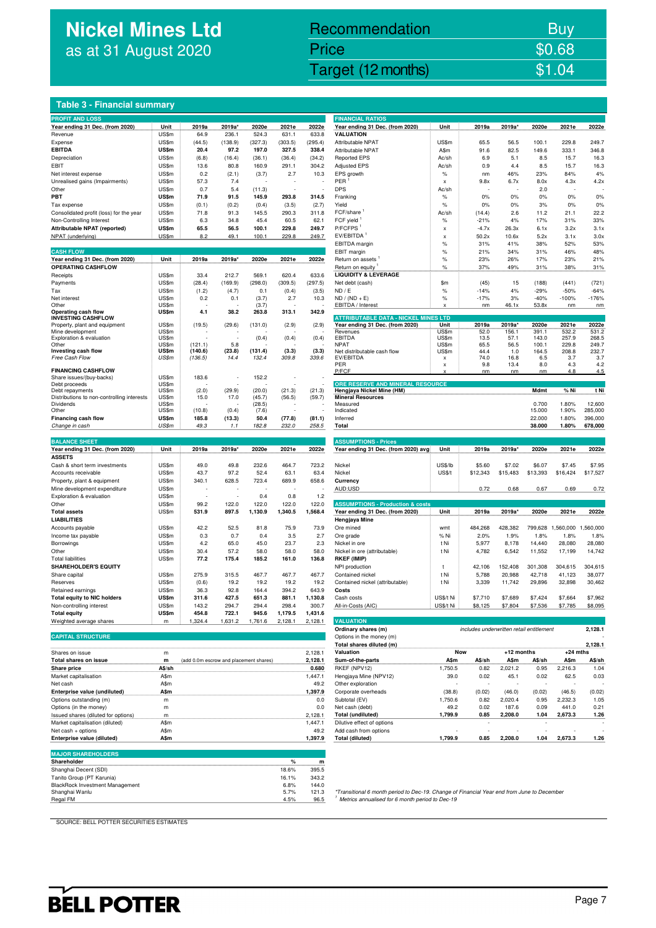# **Nickel Mines Ltd** as at 31 August 2020

## Nickel Mines Ltd (Nickel Mines Ltd (Nickel Mines Ltd (Nickel Mines Ltd (Nickel Mines Ltd Control) Recommendation Buy Price \$0.68

### **Table 3 - Financial summary**

| <b>PROFIT AND LOSS</b>                                 |                |                                        |                 |                  |                  |                  | <b>FINANCIAL RATIOS</b>                                                                                                                                    |               |                                          |              |                |                |                |
|--------------------------------------------------------|----------------|----------------------------------------|-----------------|------------------|------------------|------------------|------------------------------------------------------------------------------------------------------------------------------------------------------------|---------------|------------------------------------------|--------------|----------------|----------------|----------------|
| Year ending 31 Dec. (from 2020)                        | Unit           | 2019a                                  | 2019a*          | 2020e            | 2021e            | 2022e            | Year ending 31 Dec. (from 2020)<br><b>VALUATION</b>                                                                                                        | Unit          | 2019a                                    | 2019a*       | 2020e          | 2021e          | 2022e          |
| Revenue                                                | US\$m          | 64.9                                   | 236.1           | 524.3            | 631.1            | 633.8            |                                                                                                                                                            |               |                                          |              |                |                |                |
| Expense<br><b>EBITDA</b>                               | US\$m<br>US\$m | (44.5)<br>20.4                         | (138.9)<br>97.2 | (327.3)<br>197.0 | (303.5)<br>327.5 | (295.4)<br>338.4 | Attributable NPAT<br><b>Attributable NPAT</b>                                                                                                              | US\$m<br>A\$m | 65.5<br>91.6                             | 56.5<br>82.5 | 100.1<br>149.6 | 229.8<br>333.1 | 249.7<br>346.8 |
|                                                        |                |                                        |                 |                  |                  |                  |                                                                                                                                                            |               |                                          |              |                |                | 16.3           |
| Depreciation                                           | US\$m          | (6.8)                                  | (16.4)          | (36.1)           | (36.4)           | (34.2)           | <b>Reported EPS</b>                                                                                                                                        | Ac/sh         | 6.9                                      | 5.1          | 8.5            | 15.7           |                |
| EBIT                                                   | US\$m<br>US\$m | 13.6<br>0.2                            | 80.8            | 160.9            | 291.1            | 304.2            | <b>Adjusted EPS</b><br>EPS growth                                                                                                                          | Ac/sh         | 0.9<br>nm                                | 4.4<br>46%   | 8.5<br>23%     | 15.7<br>84%    | 16.3<br>4%     |
| Net interest expense<br>Unrealised gains (Impairments) | US\$m          | 57.3                                   | (2.1)<br>7.4    | (3.7)            | 2.7              | 10.3             | PER                                                                                                                                                        | $\%$<br>x     | 9.8x                                     | 6.7x         | 8.0x           | 4.3x           | 4.2x           |
|                                                        |                |                                        |                 |                  |                  |                  |                                                                                                                                                            |               |                                          |              |                |                |                |
| Other<br>PBT                                           | US\$m<br>US\$m | 0.7<br>71.9                            | 5.4<br>91.5     | (11.3)<br>145.9  | 293.8            | 314.5            | <b>DPS</b>                                                                                                                                                 | Ac/sh         |                                          |              | 2.0            |                |                |
|                                                        |                |                                        |                 |                  |                  |                  | Franking                                                                                                                                                   | $\%$          | 0%                                       | 0%           | 0%             | 0%             | 0%             |
| Tax expense                                            | US\$m          | (0.1)                                  | (0.2)           | (0.4)            | (3.5)            | (2.7)            | Yield                                                                                                                                                      | $\%$          | 0%                                       | 0%           | 3%             | 0%             | 0%             |
| Consolidated profit (loss) for the year                | US\$m          | 71.8                                   | 91.3            | 145.5            | 290.3            | 311.8            | FCF/share                                                                                                                                                  | Ac/sh         | (14.4)                                   | 2.6          | 11.2           | 21.1           | 22.2           |
| Non-Controlling Interest                               | US\$m          | 6.3                                    | 34.8            | 45.4             | 60.5             | 62.1             | FCF yield                                                                                                                                                  | $\%$          | $-21%$                                   | 4%           | 17%            | 31%            | 33%            |
| Attributable NPAT (reported)                           | US\$m          | 65.5                                   | 56.5            | 100.1            | 229.8            | 249.7            | P/FCFPS <sup>1</sup>                                                                                                                                       | X             | $-4.7x$                                  | 26.3x        | 6.1x           | 3.2x           | 3.1x           |
| NPAT (underlying)                                      | US\$m          | 8.2                                    | 49.1            | 100.1            | 229.8            | 249.7            | EV/EBITDA <sup>1</sup>                                                                                                                                     | X             | 50.2x                                    | 10.6x        | 5.2x           | 3.1x           | 3.0x           |
|                                                        |                |                                        |                 |                  |                  |                  | EBITDA margin                                                                                                                                              | $\%$          | 31%                                      | 41%          | 38%            | 52%            | 53%            |
| <b>CASH FLOW</b>                                       |                |                                        |                 |                  |                  |                  | EBIT margin                                                                                                                                                | $\%$          | 21%                                      | 34%          | 31%            | 46%            | 48%            |
| Year ending 31 Dec. (from 2020)                        | Unit           | 2019a                                  | 2019a*          | 2020e            | 2021e            | 2022e            | Return on assets                                                                                                                                           | $\%$          | 23%                                      | 26%          | 17%            | 23%            | 21%            |
| <b>OPERATING CASHFLOW</b>                              |                |                                        |                 |                  |                  |                  | Return on equity                                                                                                                                           | $\%$          | 37%                                      | 49%          | 31%            | 38%            | 31%            |
| Receipts                                               | US\$m          | 33.4                                   | 212.7           | 569.1            | 620.4            | 633.6            | <b>LIQUIDITY &amp; LEVERAGE</b>                                                                                                                            |               |                                          |              |                |                |                |
| Payments                                               | US\$m          | (28.4)                                 | (169.9)         | (298.0)          | (309.5)          | (297.5)          | Net debt (cash)                                                                                                                                            | \$m           | (45)                                     | 15           | (188)          | (441)          | (721)          |
| Tax                                                    | US\$m          | (1.2)                                  | (4.7)           | 0.1              | (0.4)            | (3.5)            | ND / E                                                                                                                                                     | $\%$          | $-14%$                                   | 4%           | $-29%$         | $-50%$         | $-64%$         |
| Net interest                                           | US\$m          | 0.2                                    | 0.1             | (3.7)            | 2.7              | 10.3             | $ND / (ND + E)$                                                                                                                                            | $\%$          | $-17%$                                   | 3%           | $-40%$         | $-100%$        | $-176%$        |
| Other                                                  | US\$m          |                                        |                 | (3.7)            |                  |                  | EBITDA / Interest                                                                                                                                          | x             | nm                                       | 46.1x        | 53.8x          | nm             | nm             |
| Operating cash flow<br><b>INVESTING CASHFLOW</b>       | US\$m          | 4.1                                    | 38.2            | 263.8            | 313.1            | 342.9            | <b>ATTRIBUTABLE DATA - NICKEL MINES LTD</b>                                                                                                                |               |                                          |              |                |                |                |
| Property, plant and equipment                          | US\$m          | (19.5)                                 | (29.6)          | (131.0)          | (2.9)            | (2.9)            | Year ending 31 Dec. (from 2020)                                                                                                                            | Unit          | 2019a                                    | 2019a*       | 2020e          | 2021e          | 2022e          |
| Mine development                                       | US\$m          |                                        |                 |                  |                  |                  | Revenues                                                                                                                                                   | US\$m         | 52.0                                     | 156.1        | 391.1          | 532.2          | 531.2          |
| Exploration & evaluation                               | US\$m          |                                        |                 | (0.4)            | (0.4)            | (0.4)            | <b>EBITDA</b>                                                                                                                                              | US\$m         | 13.5                                     | 57.1         | 143.0          | 257.9          | 268.5          |
| Other                                                  | US\$m          | (121.1)                                | 5.8             |                  |                  |                  | <b>NPAT</b>                                                                                                                                                | US\$m         | 65.5                                     | 56.5         | 100.1          | 229.8          | 249.7          |
| Investing cash flow                                    | US\$m          | (140.6)                                | (23.8)          | (131.4)          | (3.3)            | (3.3)            | Net distributable cash flow                                                                                                                                | US\$m         | 44.4                                     | 1.0          | 164.5          | 208.8          | 232.7          |
| Free Cash Flow                                         | US\$m          | (136.5)                                | 14.4            | 132.4            | 309.8            | 339.6            | EV/EBITDA                                                                                                                                                  | x             | 74.0                                     | 16.8         | 6.5            | 3.7            | 3.7            |
| <b>FINANCING CASHFLOW</b>                              |                |                                        |                 |                  |                  |                  | PER<br>P/FCF                                                                                                                                               | x             | 9.8<br>nm                                | 13.4<br>nm   | 8.0<br>nm      | 4.3<br>4.8     | 4.2<br>4.5     |
| Share issues/(buy-backs)                               | US\$m          | 183.6                                  |                 | 152.2            |                  |                  |                                                                                                                                                            |               |                                          |              |                |                |                |
| Debt proceeds                                          | US\$m          |                                        |                 |                  |                  |                  | ORE RESERVE AND MINERAL RESOURCE                                                                                                                           |               |                                          |              |                |                |                |
| Debt repayments                                        | US\$m          | (2.0)                                  | (29.9)          | (20.0)           | (21.3)           | (21.3)           | Hengjaya Nickel Mine (HM)                                                                                                                                  |               |                                          |              | Mdmt           | % Ni           | t Ni           |
| Distributions to non-controlling interests             | US\$m          | 15.0                                   | 17.0            | (45.7)           | (56.5)           | (59.7)           | <b>Mineral Resources</b>                                                                                                                                   |               |                                          |              |                |                |                |
| Dividends                                              | US\$m          |                                        |                 | (28.5)           |                  |                  | Measured                                                                                                                                                   |               |                                          |              | 0.700          | 1.80%          | 12,600         |
| Other                                                  | US\$m          | (10.8)                                 | (0.4)           | (7.6)            |                  |                  | Indicated                                                                                                                                                  |               |                                          |              | 15.000         | 1.90%          | 285,000        |
| Financing cash flow                                    | US\$m          | 185.8                                  | (13.3)          | 50.4             | (77.8)           | (81.1)           | Inferred                                                                                                                                                   |               |                                          |              | 22.000         | 1.80%          | 396,000        |
| Change in cash                                         | US\$m          | 49.3                                   | 1.1             | 182.8            | 232.0            | 258.5            | Total                                                                                                                                                      |               |                                          |              | 38.000         | 1.80%          | 678,000        |
|                                                        |                |                                        |                 |                  |                  |                  |                                                                                                                                                            |               |                                          |              |                |                |                |
| <b>BALANCE SHEET</b>                                   |                |                                        |                 |                  |                  |                  | <b>ASSUMPTIONS - Prices</b>                                                                                                                                |               |                                          |              |                |                |                |
| Year ending 31 Dec. (from 2020)                        | Unit           | 2019a                                  | 2019a*          | 2020e            | 2021e            | 2022e            | Year ending 31 Dec. (from 2020) avg                                                                                                                        | Unit          | 2019a                                    | 2019a*       | 2020e          | 2021e          | 2022e          |
|                                                        |                |                                        |                 |                  |                  |                  |                                                                                                                                                            |               |                                          |              |                |                |                |
| <b>ASSETS</b>                                          |                |                                        |                 |                  |                  |                  |                                                                                                                                                            |               |                                          |              |                |                |                |
| Cash & short term investments                          | US\$m          | 49.0                                   | 49.8            | 232.6            | 464.7            | 723.2            | Nickel                                                                                                                                                     | US\$/lb       | \$5.60                                   | \$7.02       | \$6.07         | \$7.45         | \$7.95         |
| Accounts receivable                                    | US\$m          | 43.7                                   | 97.2            | 52.4             | 63.1             | 63.4             | Nickel                                                                                                                                                     | US\$/t        | \$12,343                                 | \$15,483     | \$13,393       | \$16,424       | \$17,527       |
| Property, plant & equipment                            | US\$m          | 340.1                                  | 628.5           | 723.4            | 689.9            | 658.6            | Currency                                                                                                                                                   |               |                                          |              |                |                |                |
| Mine development expenditure                           | US\$m          |                                        |                 |                  |                  |                  | AUD:USD                                                                                                                                                    |               | 0.72                                     | 0.68         | 0.67           | 0.69           | 0.72           |
| Exploration & evaluation                               | US\$m          |                                        | J.              | 0.4              | 0.8              | $1.2$            |                                                                                                                                                            |               |                                          |              |                |                |                |
| Other                                                  | US\$m          | 99.2                                   | 122.0           | 122.0            | 122.0            | 122.0            | <b>ASSUMPTIONS - Production &amp; costs</b>                                                                                                                |               |                                          |              |                |                |                |
| <b>Total assets</b>                                    | US\$m          | 531.9                                  | 897.5           | 1,130.9          | 1,340.5          | 1,568.4          | Year ending 31 Dec. (from 2020)                                                                                                                            | Unit          | 2019a                                    | 2019a*       | 2020e          | 2021e          | 2022e          |
| <b>LIABILITIES</b>                                     |                |                                        |                 |                  |                  |                  | Hengjaya Mine                                                                                                                                              |               |                                          |              |                |                |                |
| Accounts payable                                       | US\$m          | 42.2                                   | 52.5            | 81.8             | 75.9             | 73.9             | Ore mined                                                                                                                                                  | wmt           | 484,268                                  | 428,382      | 799,628        | 1,560,000      | 1,560,000      |
| Income tax payable                                     | US\$m          | 0.3                                    | 0.7             | 0.4              | 3.5              | 2.7              | Ore grade                                                                                                                                                  | % Ni          | 2.0%                                     | 1.9%         | 1.8%           | 1.8%           | 1.8%           |
| Borrowings                                             | US\$m          | 4.2                                    | 65.0            | 45.0             | 23.7             | 2.3              | Nickel in ore                                                                                                                                              | t Ni          | 5,977                                    | 8,178        | 14,440         | 28,080         | 28,080         |
| Other                                                  | US\$m          | 30.4                                   | 57.2            | 58.0             | 58.0             | 58.0             | Nickel in ore (attributable)                                                                                                                               | t Ni          | 4,782                                    | 6,542        | 11,552         | 17,199         | 14,742         |
| <b>Total liabilities</b>                               | US\$m          | 77.2                                   | 175.4           | 185.2            | 161.0            | 136.8            | <b>RKEF (IMIP)</b>                                                                                                                                         |               |                                          |              |                |                |                |
| <b>SHAREHOLDER'S EQUITY</b>                            |                |                                        |                 |                  |                  |                  |                                                                                                                                                            | t             |                                          |              |                |                |                |
| Share capital                                          |                |                                        |                 |                  |                  |                  | NPI production<br>Contained nickel                                                                                                                         |               | 42,106                                   | 152,408      | 301,308        | 304,615        | 304,615        |
|                                                        | US\$m          | 275.9                                  | 315.5           | 467.7            | 467.7            | 467.7            |                                                                                                                                                            | t Ni          | 5,788                                    | 20,988       | 42,718         | 41,123         | 38,077         |
| Reserves<br>Retained earnings                          | US\$m<br>US\$m | (0.6)<br>36.3                          | 19.2<br>92.8    | 19.2<br>164.4    | 19.2<br>394.2    | 19.2<br>643.9    | Contained nickel (attributable)<br>Costs                                                                                                                   | t Ni          | 3,339                                    | 11,742       | 29,896         | 32,898         | 30,462         |
| <b>Total equity to NIC holders</b>                     | US\$m          | 311.6                                  | 427.5           | 651.3            | 881.1            | 1,130.8          | Cash costs                                                                                                                                                 | US\$/t Ni     | \$7,710                                  | \$7,689      | \$7,424        | \$7,664        | \$7,962        |
|                                                        |                |                                        |                 |                  |                  |                  |                                                                                                                                                            |               |                                          |              |                |                |                |
| Non-controlling interest                               | US\$m          | 143.2                                  | 294.7           | 294.4            | 298.4            | 300.7            | All-in-Costs (AIC)                                                                                                                                         | US\$/t Ni     | \$8,125                                  | \$7,804      | \$7,536        | \$7,785        | \$8,095        |
| <b>Total equity</b>                                    | US\$m          | 454.8                                  | 722.1           | 945.6            | 1,179.5          | 1,431.6          |                                                                                                                                                            |               |                                          |              |                |                |                |
| Weighted average shares                                | m              | 1,324.4                                | 1,631.2         | 1,761.6          | 2,128.1          | 2,128.1          | <b>VALUATION</b>                                                                                                                                           |               |                                          |              |                |                |                |
|                                                        |                |                                        |                 |                  |                  |                  | Ordinary shares (m)                                                                                                                                        |               | includes underwritten retail entitlement |              |                |                | 2,128.1        |
| <b>CAPITAL STRUCTURE</b>                               |                |                                        |                 |                  |                  |                  | Options in the money (m)                                                                                                                                   |               |                                          |              |                |                |                |
|                                                        |                |                                        |                 |                  |                  |                  | Total shares diluted (m)                                                                                                                                   |               |                                          |              |                |                | 2,128.1        |
| Shares on issue                                        | m              |                                        |                 |                  |                  | 2,128.1          | Valuation                                                                                                                                                  | Now           |                                          | +12 months   |                | $+24$ mths     |                |
| Total shares on issue                                  | m              | (add 0.0m escrow and placement shares) |                 |                  |                  | 2,128.1          | Sum-of-the-parts                                                                                                                                           | A\$m          | A\$/sh                                   | A\$m         | A\$/sh         | A\$m           | A\$/sh         |
| Share price                                            | A\$/sh         |                                        |                 |                  |                  | 0.680            | RKEF (NPV12)                                                                                                                                               | 1,750.5       | 0.82                                     | 2,021.2      | 0.95           | 2,216.3        | 1.04           |
| Market capitalisation                                  | A\$m           |                                        |                 |                  |                  | 1,447.1          | Hengjaya Mine (NPV12)                                                                                                                                      | 39.0          | 0.02                                     | 45.1         | 0.02           | 62.5           | 0.03           |
| Net cash                                               | A\$m           |                                        |                 |                  |                  | 49.2             | Other exploration                                                                                                                                          |               |                                          |              |                |                |                |
| Enterprise value (undiluted)                           | A\$m           |                                        |                 |                  |                  | 1,397.9          | Corporate overheads                                                                                                                                        | (38.8)        | (0.02)                                   | (46.0)       | (0.02)         | (46.5)         | (0.02)         |
| Options outstanding (m)                                | m              |                                        |                 |                  |                  | 0.0              | Subtotal (EV)                                                                                                                                              | 1,750.6       | 0.82                                     | 2,020.4      | 0.95           | 2,232.3        | 1.05           |
| Options (in the money)                                 | m              |                                        |                 |                  |                  | 0.0              | Net cash (debt)                                                                                                                                            | 49.2          | 0.02                                     | 187.6        | 0.09           | 441.0          | 0.21           |
| Issued shares (diluted for options)                    | m              |                                        |                 |                  |                  | 2,128.1          | <b>Total (undiluted)</b>                                                                                                                                   | 1,799.9       | 0.85                                     | 2,208.0      | 1.04           | 2,673.3        | 1.26           |
| Market capitalisation (diluted)                        | A\$m           |                                        |                 |                  |                  | 1,447.1          | Dilutive effect of options                                                                                                                                 |               |                                          |              |                |                |                |
| Net cash + options                                     | A\$m           |                                        |                 |                  |                  | 49.2             | Add cash from options                                                                                                                                      |               | J.                                       |              |                |                |                |
| Enterprise value (diluted)                             | A\$m           |                                        |                 |                  |                  | 1,397.9          | <b>Total (diluted)</b>                                                                                                                                     | 1,799.9       | 0.85                                     | 2,208.0      | 1.04           | 2,673.3        | 1.26           |
|                                                        |                |                                        |                 |                  |                  |                  |                                                                                                                                                            |               |                                          |              |                |                |                |
| <b>MAJOR SHAREHOLDERS</b>                              |                |                                        |                 |                  |                  |                  |                                                                                                                                                            |               |                                          |              |                |                |                |
| Shareholder                                            |                |                                        |                 |                  | $\%$             | m                |                                                                                                                                                            |               |                                          |              |                |                |                |
| Shanghai Decent (SDI)                                  |                |                                        |                 |                  | 18.6%            | 395.5            |                                                                                                                                                            |               |                                          |              |                |                |                |
| Tanito Group (PT Karunia)                              |                |                                        |                 |                  | 16.1%            | 343.2            |                                                                                                                                                            |               |                                          |              |                |                |                |
| BlackRock Investment Management                        |                |                                        |                 |                  | 6.8%             | 144.0            |                                                                                                                                                            |               |                                          |              |                |                |                |
| Shanghai Wanlu<br>Regal FM                             |                |                                        |                 |                  | 5.7%<br>4.5%     | 121.3<br>96.5    | *Transitional 6 month period to Dec-19. Change of Financial Year end from June to December<br><sup>1</sup> Metrics annualised for 6 month period to Dec-19 |               |                                          |              |                |                |                |

| <b>FINANCIAL RATIOS</b>                                                                                                                                                            |               |                                          |                 |                 |                         |                   |
|------------------------------------------------------------------------------------------------------------------------------------------------------------------------------------|---------------|------------------------------------------|-----------------|-----------------|-------------------------|-------------------|
| Year ending 31 Dec. (from 2020)                                                                                                                                                    | Unit          | 2019a                                    | 2019a*          | 2020e           | 2021e                   | 2022e             |
| <b>VALUATION</b>                                                                                                                                                                   |               |                                          |                 |                 |                         |                   |
| Attributable NPAT                                                                                                                                                                  | US\$m         | 65.5                                     | 56.5            | 100.1           | 229.8                   | 249.7             |
| Attributable NPAT<br><b>Reported EPS</b>                                                                                                                                           | A\$m<br>Ac/sh | 91.6<br>6.9                              | 82.5<br>5.1     | 149.6<br>8.5    | 333.1<br>15.7           | 346.8<br>16.3     |
| <b>Adjusted EPS</b>                                                                                                                                                                | Ac/sh         | 0.9                                      | 4.4             | 8.5             | 15.7                    | 16.3              |
| EPS growth                                                                                                                                                                         | %             | nm                                       | 46%             | 23%             | 84%                     | 4%                |
| PER                                                                                                                                                                                | x             | 9.8x                                     | 6.7x            | 8.0x            | 4.3x                    | 4.2x              |
| DPS                                                                                                                                                                                | Ac/sh         |                                          |                 | 2.0             |                         |                   |
| Franking                                                                                                                                                                           | $\%$          | 0%                                       | 0%              | 0%              | 0%                      | 0%                |
| Yield                                                                                                                                                                              | $\%$          | 0%                                       | 0%              | 3%              | 0%                      | 0%                |
| $FCF/share$ <sup>1</sup>                                                                                                                                                           | Ac/sh         | (14.4)                                   | 2.6             | 11.2            | 21.1                    | 22.2              |
| FCF yield 1<br>P/FCFPS <sup>1</sup>                                                                                                                                                | %             | $-21%$<br>$-4.7x$                        | 4%<br>26.3x     | 17%<br>6.1x     | 31%<br>3.2x             | 33%<br>3.1x       |
| EV/EBITDA 1                                                                                                                                                                        | x<br>x        | 50.2x                                    | 10.6x           | 5.2x            | 3.1x                    | 3.0x              |
| EBITDA margin                                                                                                                                                                      | %             | 31%                                      | 41%             | 38%             | 52%                     | 53%               |
| EBIT margin                                                                                                                                                                        | $\%$          | 21%                                      | 34%             | 31%             | 46%                     | 48%               |
| Return on assets                                                                                                                                                                   | $\%$          | 23%                                      | 26%             | 17%             | 23%                     | 21%               |
| Return on equity                                                                                                                                                                   | %             | 37%                                      | 49%             | 31%             | 38%                     | 31%               |
| <b>LIQUIDITY &amp; LEVERAGE</b>                                                                                                                                                    |               |                                          |                 |                 |                         |                   |
| Net debt (cash)                                                                                                                                                                    | \$m           | (45)                                     | 15              | (188)           | (441)                   | (721)             |
| ND / E                                                                                                                                                                             | %             | -14%                                     | 4%              | -29%            | $-50%$                  | -64%              |
| $ND / (ND + E)$<br>EBITDA / Interest                                                                                                                                               | %<br>X        | $-17%$<br>nm                             | 3%<br>46.1x     | $-40%$<br>53.8x | $-100%$<br>nm           | $-176%$<br>nm     |
|                                                                                                                                                                                    |               |                                          |                 |                 |                         |                   |
| <b>ATTRIBUTABLE DATA - NICKEL MINES LTD</b>                                                                                                                                        |               |                                          |                 | 2020e           |                         | 2022e             |
| Year ending 31 Dec. (from 2020)<br>Revenues                                                                                                                                        | Unit<br>US\$m | 2019a<br>52.0                            | 2019a*<br>156.1 | 391.1           | 2021e<br>532.2          | 531.2             |
| EBITDA                                                                                                                                                                             | US\$m         | 13.5                                     | 57.1            | 143.0           | 257.9                   | 268.5             |
| <b>NPAT</b>                                                                                                                                                                        | US\$m         | 65.5                                     | 56.5            | 100.1           | 229.8                   | 249.7             |
| Net distributable cash flow<br>EV/EBITDA                                                                                                                                           | US\$m<br>x    | 44.4<br>74.0                             | 1.0<br>16.8     | 164.5<br>6.5    | 208.8<br>3.7            | 232.7<br>3.7      |
| PER                                                                                                                                                                                | x             | 9.8                                      | 13.4            | 8.0             | 4.3                     | 4.2               |
| P/FCF                                                                                                                                                                              | X             | nm                                       | nm              | nm              | 4.8                     | 4.5               |
| ORE RESERVE AND MINERAL RESOURCE<br>Hengjaya Nickel Mine (HM)                                                                                                                      |               |                                          |                 | Mdmt            | % Ni                    | t Ni              |
| <b>Mineral Resources</b><br>Measured                                                                                                                                               |               |                                          |                 | 0.700           | 1.80%                   | 12,600            |
| Indicated                                                                                                                                                                          |               |                                          |                 | 15.000          | 1.90%                   | 285,000           |
| Inferred                                                                                                                                                                           |               |                                          |                 | 22.000          | 1.80%                   | 396,000           |
|                                                                                                                                                                                    |               |                                          |                 |                 |                         |                   |
|                                                                                                                                                                                    |               |                                          |                 | 38.000          | 1.80%                   | 678,000           |
|                                                                                                                                                                                    |               |                                          |                 |                 |                         |                   |
| Total<br><b>ASSUMPTIONS - Prices</b>                                                                                                                                               |               |                                          |                 |                 |                         |                   |
| Year ending 31 Dec. (from 2020) avg Unit                                                                                                                                           |               | 2019a                                    | 2019a*          | 2020e           | 2021e                   | 2022e             |
| Nickel                                                                                                                                                                             | US\$/lb       | \$5.60                                   | \$7.02          | \$6.07          | \$7.45                  | \$7.95            |
| Nickel                                                                                                                                                                             | <b>US\$/t</b> | \$12,343                                 | \$15,483        | \$13,393        | \$16,424                | \$17,527          |
| Currency                                                                                                                                                                           |               |                                          |                 |                 |                         |                   |
| AUD:USD                                                                                                                                                                            |               | 0.72                                     | 0.68            | 0.67            | 0.69                    | 0.72              |
|                                                                                                                                                                                    |               |                                          |                 |                 |                         |                   |
| <b>ASSUMPTIONS - Production &amp; costs</b>                                                                                                                                        |               |                                          |                 |                 |                         |                   |
| Year ending 31 Dec. (from 2020)                                                                                                                                                    | Unit          | 2019a                                    | 2019a*          | 2020e           | 2021e                   | 2022e             |
|                                                                                                                                                                                    | wmt           |                                          |                 |                 |                         |                   |
|                                                                                                                                                                                    | % Ni          | 484,268<br>2.0%                          | 428,382<br>1.9% | 799,628<br>1.8% | 1,560,000<br>1.8%       | 1,560,000<br>1.8% |
| Hengjaya Mine<br>Ore mined<br>Ore grade<br>Nickel in ore                                                                                                                           | t Ni          | 5,977                                    | 8,178           | 14,440          | 28,080                  | 28,080            |
| Nickel in ore (attributable)                                                                                                                                                       | t Ni          | 4,782                                    | 6,542           | 11,552          | 17,199                  | 14,742            |
| RKEF (IMIP)                                                                                                                                                                        |               |                                          |                 |                 |                         |                   |
| NPI production                                                                                                                                                                     | t             | 42,106                                   | 152,408         | 301,308         | 304,615                 | 304,615           |
| Contained nickel                                                                                                                                                                   | t Ni          | 5,788                                    | 20,988          | 42,718          | 41,123                  | 38,077            |
|                                                                                                                                                                                    | t Ni          | 3,339                                    | 11,742          | 29,896          | 32,898                  | 30,462            |
|                                                                                                                                                                                    |               |                                          |                 |                 |                         |                   |
| Contained nickel (attributable)<br>Costs<br>Cash costs                                                                                                                             | US\$/t Ni     | \$7,710                                  | \$7,689         | \$7,424         | \$7,664                 | \$7,962           |
| All-in-Costs (AIC)                                                                                                                                                                 | US\$/t Ni     | \$8,125                                  | \$7,804         | \$7,536         | \$7,785                 | \$8,095           |
| <b>VALUATION</b>                                                                                                                                                                   |               |                                          |                 |                 |                         |                   |
| Ordinary shares (m)                                                                                                                                                                |               | includes underwritten retail entitlement |                 |                 |                         | 2,128.1           |
| Options in the money (m)                                                                                                                                                           |               |                                          |                 |                 |                         |                   |
|                                                                                                                                                                                    |               |                                          |                 |                 | <b>CONTRACTOR</b>       | 2,128.1           |
|                                                                                                                                                                                    | <b>Now</b>    |                                          | +12 months      |                 | $+24$ mths              |                   |
|                                                                                                                                                                                    | A\$m A\$/sh   |                                          |                 |                 | A\$m A\$/sh A\$m A\$/sh |                   |
|                                                                                                                                                                                    | 1,750.5       | 0.82                                     | 2,021.2         | 0.95            | 2,216.3                 | 1.04              |
|                                                                                                                                                                                    | 39.0          | 0.02                                     | 45.1            | 0.02            | 62.5                    | 0.03              |
|                                                                                                                                                                                    | (38.8)        | (0.02)                                   | (46.0)          | (0.02)          | (46.5)                  | (0.02)            |
|                                                                                                                                                                                    | 1,750.6       | 0.82                                     | 2,020.4         | 0.95            | 2,232.3                 | 1.05              |
| Total shares diluted (m)<br>Valuation<br>Sum-of-the-parts<br>RKEF (NPV12)<br>Hengjaya Mine (NPV12)<br>Other exploration<br>Corporate overheads<br>Subtotal (EV)<br>Net cash (debt) | 49.2          | 0.02                                     | 187.6           | 0.09            | 441.0                   | 0.21              |
| Total (undiluted)                                                                                                                                                                  | 1,799.9       | 0.85                                     | 2,208.0         | 1.04            | 2,673.3                 | 1.26              |
| Dilutive effect of options<br>Add cash from options                                                                                                                                |               |                                          |                 |                 |                         |                   |

SOURCE: BELL POTTER SECURITIES ESTIMATES